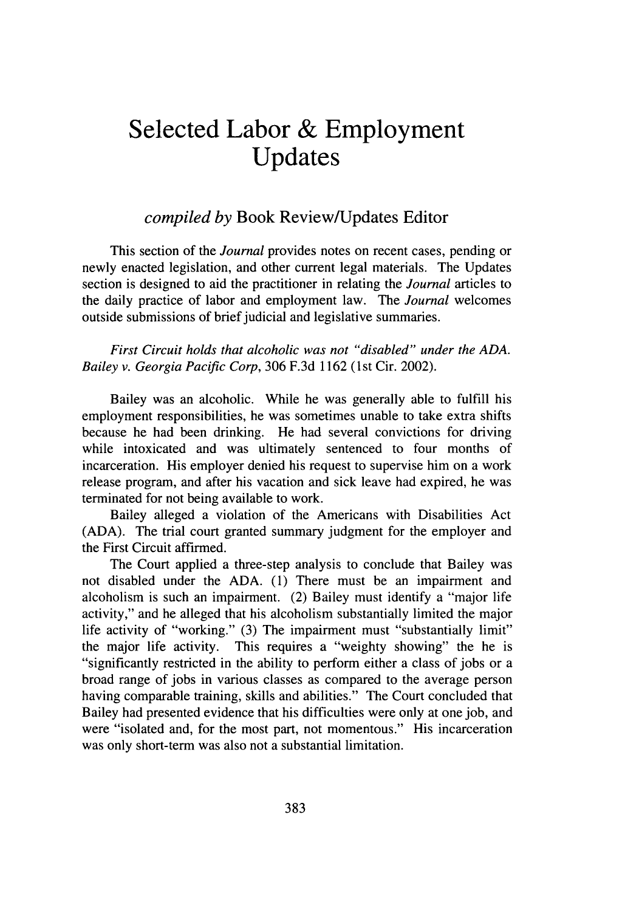## **Selected Labor & Employment Updates**

## *compiled by* Book Review/Updates Editor

This section of the *Journal* provides notes on recent cases, pending or newly enacted legislation, and other current legal materials. The Updates section is designed to aid the practitioner in relating the *Journal* articles to the daily practice of labor and employment law. The *Journal* welcomes outside submissions of brief judicial and legislative summaries.

*First Circuit holds that alcoholic was not "disabled" under the ADA. Bailey v. Georgia Pacific Corp,* 306 F.3d 1162 (1st Cir. 2002).

Bailey was an alcoholic. While he was generally able to fulfill his employment responsibilities, he was sometimes unable to take extra shifts because he had been drinking. He had several convictions for driving while intoxicated and was ultimately sentenced to four months of incarceration. His employer denied his request to supervise him on a work release program, and after his vacation and sick leave had expired, he was terminated for not being available to work.

Bailey alleged a violation of the Americans with Disabilities Act (ADA). The trial court granted summary judgment for the employer and the First Circuit affirmed.

The Court applied a three-step analysis to conclude that Bailey was not disabled under the ADA. (1) There must be an impairment and alcoholism is such an impairment. (2) Bailey must identify a "major life activity," and he alleged that his alcoholism substantially limited the major life activity of "working." (3) The impairment must "substantially limit" the major life activity. This requires a "weighty showing" the he is "significantly restricted in the ability to perform either a class of jobs or a broad range of jobs in various classes as compared to the average person having comparable training, skills and abilities." The Court concluded that Bailey had presented evidence that his difficulties were only at one job, and were "isolated and, for the most part, not momentous." His incarceration was only short-term was also not a substantial limitation.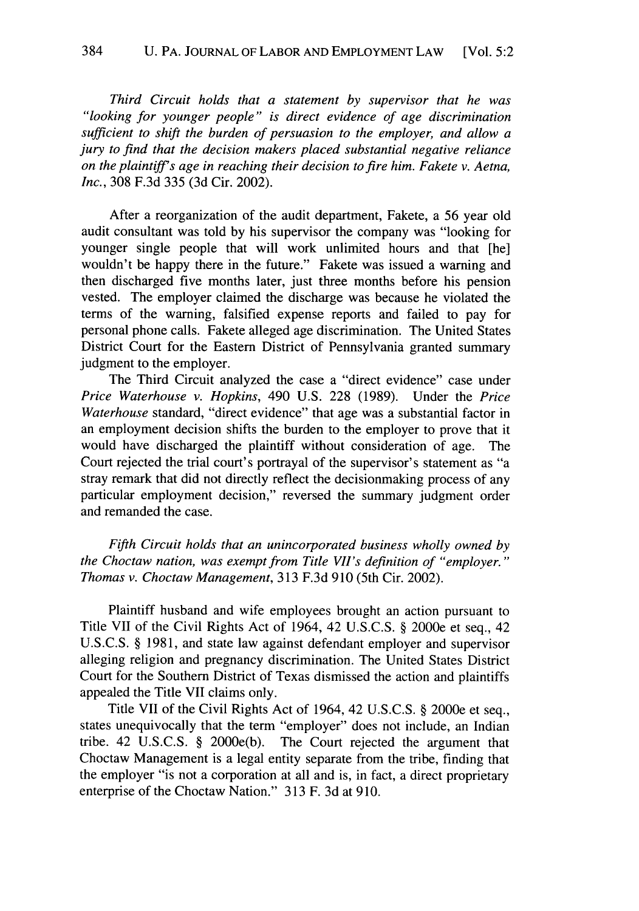*Third Circuit holds that a statement by supervisor that he was "looking for younger people" is direct evidence of age discrimination sufficient to shift the burden of persuasion to the employer, and allow a jury to find that the decision makers placed substantial negative reliance on the plaintiffs age in reaching their decision to fire him. Fakete v. Aetna, Inc.,* 308 F.3d 335 (3d Cir. 2002).

After a reorganization of the audit department, Fakete, a 56 year old audit consultant was told by his supervisor the company was "looking for younger single people that will work unlimited hours and that [he] wouldn't be happy there in the future." Fakete was issued a warning and then discharged five months later, just three months before his pension vested. The employer claimed the discharge was because he violated the terms of the warning, falsified expense reports and failed to pay for personal phone calls. Fakete alleged age discrimination. The United States District Court for the Eastern District of Pennsylvania granted summary judgment to the employer.

The Third Circuit analyzed the case a "direct evidence" case under *Price Waterhouse v. Hopkins,* 490 U.S. 228 (1989). Under the *Price Waterhouse* standard, "direct evidence" that age was a substantial factor in an employment decision shifts the burden to the employer to prove that it would have discharged the plaintiff without consideration of age. The Court rejected the trial court's portrayal of the supervisor's statement as "a stray remark that did not directly reflect the decisionmaking process of any particular employment decision," reversed the summary judgment order and remanded the case.

*Fifth Circuit holds that an unincorporated business wholly owned by the Choctaw nation, was exempt from Title VIi's definition of "employer." Thomas v. Choctaw Management,* 313 F.3d 910 (5th Cir. 2002).

Plaintiff husband and wife employees brought an action pursuant to Title VII of the Civil Rights Act of 1964, 42 U.S.C.S. § 2000e et seq., 42 U.S.C.S. § 1981, and state law against defendant employer and supervisor alleging religion and pregnancy discrimination. The United States District Court for the Southern District of Texas dismissed the action and plaintiffs appealed the Title VII claims only.

Title VII of the Civil Rights Act of 1964, 42 U.S.C.S. § 2000e et seq., states unequivocally that the term "employer" does not include, an Indian tribe. 42 U.S.C.S. § 2000e(b). The Court rejected the argument that Choctaw Management is a legal entity separate from the tribe, finding that the employer "is not a corporation at all and is, in fact, a direct proprietary enterprise of the Choctaw Nation." 313 F. 3d at 910.